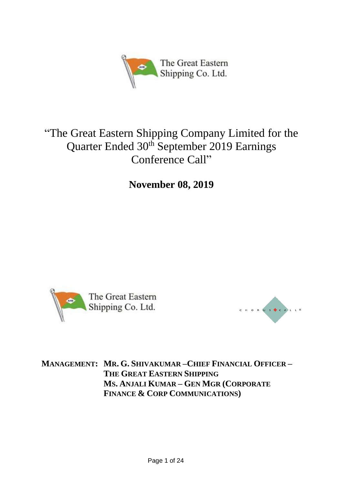

# "The Great Eastern Shipping Company Limited for the Quarter Ended 30<sup>th</sup> September 2019 Earnings Conference Call"

**November 08, 2019**





**MANAGEMENT: MR. G. SHIVAKUMAR –CHIEF FINANCIAL OFFICER – THE GREAT EASTERN SHIPPING MS. ANJALI KUMAR – GEN MGR (CORPORATE FINANCE & CORP COMMUNICATIONS)**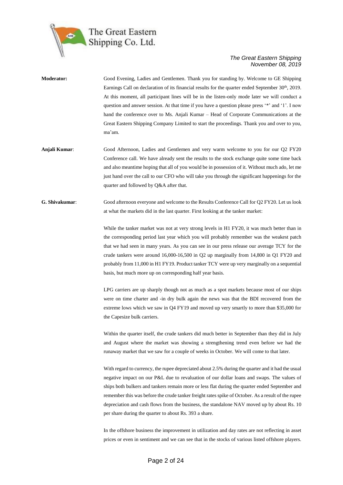

| <b>Moderator:</b> | Good Evening, Ladies and Gentlemen. Thank you for standing by. Welcome to GE Shipping<br>Earnings Call on declaration of its financial results for the quarter ended September $30th$ , 2019.<br>At this moment, all participant lines will be in the listen-only mode later we will conduct a<br>question and answer session. At that time if you have a question please press '*' and '1'. I now<br>hand the conference over to Ms. Anjali Kumar – Head of Corporate Communications at the<br>Great Eastern Shipping Company Limited to start the proceedings. Thank you and over to you,<br>ma'am. |
|-------------------|-------------------------------------------------------------------------------------------------------------------------------------------------------------------------------------------------------------------------------------------------------------------------------------------------------------------------------------------------------------------------------------------------------------------------------------------------------------------------------------------------------------------------------------------------------------------------------------------------------|
| Anjali Kumar:     | Good Afternoon, Ladies and Gentlemen and very warm welcome to you for our O2 FY20<br>Conference call. We have already sent the results to the stock exchange quite some time back<br>and also meantime hoping that all of you would be in possession of it. Without much ado, let me<br>just hand over the call to our CFO who will take you through the significant happenings for the<br>quarter and followed by O&A after that.                                                                                                                                                                    |
| G. Shivakumar:    | Good afternoon everyone and welcome to the Results Conference Call for Q2 FY20. Let us look<br>at what the markets did in the last quarter. First looking at the tanker market:                                                                                                                                                                                                                                                                                                                                                                                                                       |
|                   | While the tanker market was not at very strong levels in H1 FY20, it was much better than in<br>the corresponding period last year which you will probably remember was the weakest patch<br>that we had seen in many years. As you can see in our press release our average TCY for the                                                                                                                                                                                                                                                                                                              |

crude tankers were around 16,000-16,500 in Q2 up marginally from 14,800 in Q1 FY20 and probably from 11,000 in H1 FY19. Product tanker TCY were up very marginally on a sequential basis, but much more up on corresponding half year basis.

LPG carriers are up sharply though not as much as a spot markets because most of our ships were on time charter and -in dry bulk again the news was that the BDI recovered from the extreme lows which we saw in Q4 FY19 and moved up very smartly to more than \$35,000 for the Capesize bulk carriers.

Within the quarter itself, the crude tankers did much better in September than they did in July and August where the market was showing a strengthening trend even before we had the runaway market that we saw for a couple of weeks in October. We will come to that later.

With regard to currency, the rupee depreciated about 2.5% during the quarter and it had the usual negative impact on our P&L due to revaluation of our dollar loans and swaps. The values of ships both bulkers and tankers remain more or less flat during the quarter ended September and remember this was before the crude tanker freight rates spike of October. As a result of the rupee depreciation and cash flows from the business, the standalone NAV moved up by about Rs. 10 per share during the quarter to about Rs. 393 a share.

In the offshore business the improvement in utilization and day rates are not reflecting in asset prices or even in sentiment and we can see that in the stocks of various listed offshore players.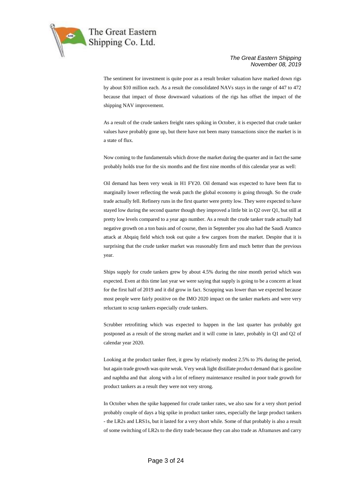

The sentiment for investment is quite poor as a result broker valuation have marked down rigs by about \$10 million each. As a result the consolidated NAVs stays in the range of 447 to 472 because that impact of those downward valuations of the rigs has offset the impact of the shipping NAV improvement.

As a result of the crude tankers freight rates spiking in October, it is expected that crude tanker values have probably gone up, but there have not been many transactions since the market is in a state of flux.

Now coming to the fundamentals which drove the market during the quarter and in fact the same probably holds true for the six months and the first nine months of this calendar year as well:

Oil demand has been very weak in H1 FY20. Oil demand was expected to have been flat to marginally lower reflecting the weak patch the global economy is going through. So the crude trade actually fell. Refinery runs in the first quarter were pretty low. They were expected to have stayed low during the second quarter though they improved a little bit in Q2 over Q1, but still at pretty low levels compared to a year ago number. As a result the crude tanker trade actually had negative growth on a ton basis and of course, then in September you also had the Saudi Aramco attack at Abqaiq field which took out quite a few cargoes from the market. Despite that it is surprising that the crude tanker market was reasonably firm and much better than the previous year.

Ships supply for crude tankers grew by about 4.5% during the nine month period which was expected. Even at this time last year we were saying that supply is going to be a concern at least for the first half of 2019 and it did grow in fact. Scrapping was lower than we expected because most people were fairly positive on the IMO 2020 impact on the tanker markets and were very reluctant to scrap tankers especially crude tankers.

Scrubber retrofitting which was expected to happen in the last quarter has probably got postponed as a result of the strong market and it will come in later, probably in Q1 and Q2 of calendar year 2020.

Looking at the product tanker fleet, it grew by relatively modest 2.5% to 3% during the period, but again trade growth was quite weak. Very weak light distillate product demand that is gasoline and naphtha and that along with a lot of refinery maintenance resulted in poor trade growth for product tankers as a result they were not very strong.

In October when the spike happened for crude tanker rates, we also saw for a very short period probably couple of days a big spike in product tanker rates, especially the large product tankers - the LR2s and LRS1s, but it lasted for a very short while. Some of that probably is also a result of some switching of LR2s to the dirty trade because they can also trade as Aframaxes and carry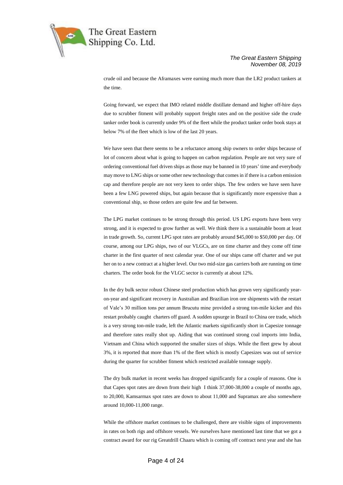

crude oil and because the Aframaxes were earning much more than the LR2 product tankers at the time.

Going forward, we expect that IMO related middle distillate demand and higher off-hire days due to scrubber fitment will probably support freight rates and on the positive side the crude tanker order book is currently under 9% of the fleet while the product tanker order book stays at below 7% of the fleet which is low of the last 20 years.

We have seen that there seems to be a reluctance among ship owners to order ships because of lot of concern about what is going to happen on carbon regulation. People are not very sure of ordering conventional fuel driven ships as those may be banned in 10 years' time and everybody may move to LNG ships or some other new technology that comes in if there is a carbon emission cap and therefore people are not very keen to order ships. The few orders we have seen have been a few LNG powered ships, but again because that is significantly more expensive than a conventional ship, so those orders are quite few and far between.

The LPG market continues to be strong through this period. US LPG exports have been very strong, and it is expected to grow further as well. We think there is a sustainable boom at least in trade growth. So, current LPG spot rates are probably around \$45,000 to \$50,000 per day. Of course, among our LPG ships, two of our VLGCs, are on time charter and they come off time charter in the first quarter of next calendar year. One of our ships came off charter and we put her on to a new contract at a higher level. Our two mid-size gas carriers both are running on time charters. The order book for the VLGC sector is currently at about 12%.

In the dry bulk sector robust Chinese steel production which has grown very significantly yearon-year and significant recovery in Australian and Brazilian iron ore shipments with the restart of Vale's 30 million tons per annum Brucutu mine provided a strong ton-mile kicker and this restart probably caught charters off guard. A sudden upsurge in Brazil to China ore trade, which is a very strong ton-mile trade, left the Atlantic markets significantly short in Capesize tonnage and therefore rates really shot up. Aiding that was continued strong coal imports into India, Vietnam and China which supported the smaller sizes of ships. While the fleet grew by about 3%, it is reported that more than 1% of the fleet which is mostly Capesizes was out of service during the quarter for scrubber fitment which restricted available tonnage supply.

The dry bulk market in recent weeks has dropped significantly for a couple of reasons. One is that Capes spot rates are down from their high I think 37,000-38,000 a couple of months ago, to 20,000, Kamsarmax spot rates are down to about 11,000 and Supramax are also somewhere around 10,000-11,000 range.

While the offshore market continues to be challenged, there are visible signs of improvements in rates on both rigs and offshore vessels. We ourselves have mentioned last time that we got a contract award for our rig Greatdrill Chaaru which is coming off contract next year and she has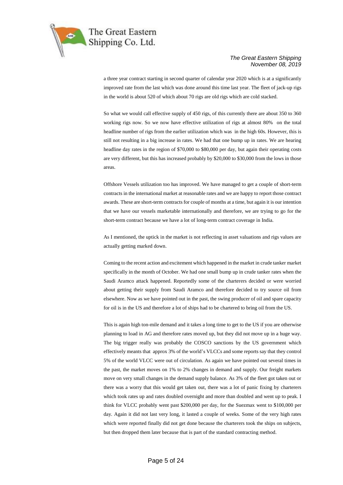

a three year contract starting in second quarter of calendar year 2020 which is at a significantly improved rate from the last which was done around this time last year. The fleet of jack-up rigs in the world is about 520 of which about 70 rigs are old rigs which are cold stacked.

So what we would call effective supply of 450 rigs, of this currently there are about 350 to 360 working rigs now. So we now have effective utilization of rigs at almost 80% on the total headline number of rigs from the earlier utilization which was in the high 60s. However, this is still not resulting in a big increase in rates. We had that one bump up in rates. We are hearing headline day rates in the region of \$70,000 to \$80,000 per day, but again their operating costs are very different, but this has increased probably by \$20,000 to \$30,000 from the lows in those areas.

Offshore Vessels utilization too has improved. We have managed to get a couple of short-term contracts in the international market at reasonable rates and we are happy to report those contract awards. These are short-term contracts for couple of months at a time, but again it is our intention that we have our vessels marketable internationally and therefore, we are trying to go for the short-term contract because we have a lot of long-term contract coverage in India.

As I mentioned, the uptick in the market is not reflecting in asset valuations and rigs values are actually getting marked down.

Coming to the recent action and excitement which happened in the market in crude tanker market specifically in the month of October. We had one small bump up in crude tanker rates when the Saudi Aramco attack happened. Reportedly some of the charterers decided or were worried about getting their supply from Saudi Aramco and therefore decided to try source oil from elsewhere. Now as we have pointed out in the past, the swing producer of oil and spare capacity for oil is in the US and therefore a lot of ships had to be chartered to bring oil from the US.

This is again high ton-mile demand and it takes a long time to get to the US if you are otherwise planning to load in AG and therefore rates moved up, but they did not move up in a huge way. The big trigger really was probably the COSCO sanctions by the US government which effectively meants that approx 3% of the world's VLCCs and some reports say that they control 5% of the world VLCC were out of circulation. As again we have pointed out several times in the past, the market moves on 1% to 2% changes in demand and supply. Our freight markets move on very small changes in the demand supply balance. As 3% of the fleet got taken out or there was a worry that this would get taken out, there was a lot of panic fixing by charterers which took rates up and rates doubled overnight and more than doubled and went up to peak. I think for VLCC probably went past \$200,000 per day, for the Suezmax went to \$100,000 per day. Again it did not last very long, it lasted a couple of weeks. Some of the very high rates which were reported finally did not get done because the charterers took the ships on subjects, but then dropped them later because that is part of the standard contracting method.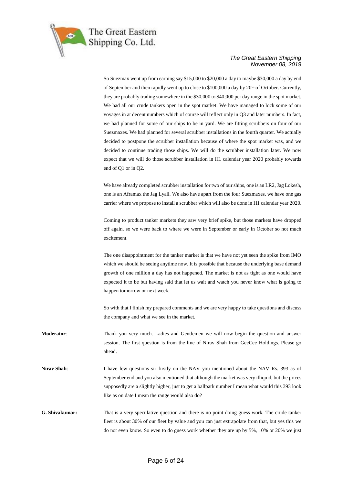

So Suezmax went up from earning say \$15,000 to \$20,000 a day to maybe \$30,000 a day by end of September and then rapidly went up to close to \$100,000 a day by 20<sup>th</sup> of October. Currently, they are probably trading somewhere in the \$30,000 to \$40,000 per day range in the spot market. We had all our crude tankers open in the spot market. We have managed to lock some of our voyages in at decent numbers which of course will reflect only in Q3 and later numbers. In fact, we had planned for some of our ships to be in yard. We are fitting scrubbers on four of our Suezmaxes. We had planned for several scrubber installations in the fourth quarter. We actually decided to postpone the scrubber installation because of where the spot market was, and we decided to continue trading those ships. We will do the scrubber installation later. We now expect that we will do those scrubber installation in H1 calendar year 2020 probably towards end of Q1 or in Q2.

We have already completed scrubber installation for two of our ships, one is an LR2, Jag Lokesh, one is an Aframax the Jag Lyall. We also have apart from the four Suezmaxes, we have one gas carrier where we propose to install a scrubber which will also be done in H1 calendar year 2020.

Coming to product tanker markets they saw very brief spike, but those markets have dropped off again, so we were back to where we were in September or early in October so not much excitement.

The one disappointment for the tanker market is that we have not yet seen the spike from IMO which we should be seeing anytime now. It is possible that because the underlying base demand growth of one million a day has not happened. The market is not as tight as one would have expected it to be but having said that let us wait and watch you never know what is going to happen tomorrow or next week.

So with that I finish my prepared comments and we are very happy to take questions and discuss the company and what we see in the market.

**Moderator**: Thank you very much. Ladies and Gentlemen we will now begin the question and answer session. The first question is from the line of Nirav Shah from GeeCee Holdings. Please go ahead.

**Nirav Shah**: I have few questions sir firstly on the NAV you mentioned about the NAV Rs. 393 as of September end and you also mentioned that although the market was very illiquid, but the prices supposedly are a slightly higher, just to get a ballpark number I mean what would this 393 look like as on date I mean the range would also do?

**G. Shivakumar:** That is a very speculative question and there is no point doing guess work. The crude tanker fleet is about 30% of our fleet by value and you can just extrapolate from that, but yes this we do not even know. So even to do guess work whether they are up by 5%, 10% or 20% we just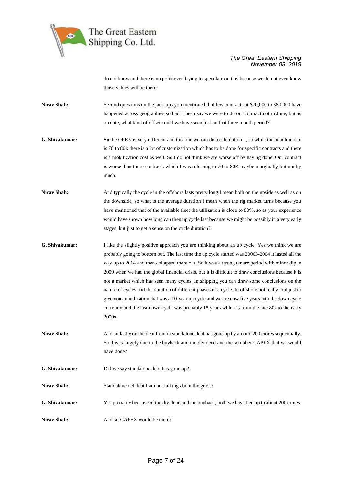

do not know and there is no point even trying to speculate on this because we do not even know those values will be there.

**Nirav Shah:** Second questions on the jack-ups you mentioned that few contracts at \$70,000 to \$80,000 have happened across geographies so had it been say we were to do our contract not in June, but as on date, what kind of offset could we have seen just on that three month period?

- **G. Shivakumar: So** the OPEX is very different and this one we can do a calculation. , so while the headline rate is 70 to 80k there is a lot of customization which has to be done for specific contracts and there is a mobilization cost as well. So I do not think we are worse off by having done. Our contract is worse than these contracts which I was referring to 70 to 80K maybe marginally but not by much.
- **Nirav Shah:** And typically the cycle in the offshore lasts pretty long I mean both on the upside as well as on the downside, so what is the average duration I mean when the rig market turns because you have mentioned that of the available fleet the utilization is close to 80%, so as your experience would have shown how long can then up cycle last because we might be possibly in a very early stages, but just to get a sense on the cycle duration?
- **G. Shivakumar:** I like the slightly positive approach you are thinking about an up cycle. Yes we think we are probably going to bottom out. The last time the up cycle started was 20003-2004 it lasted all the way up to 2014 and then collapsed there out. So it was a strong tenure period with minor dip in 2009 when we had the global financial crisis, but it is difficult to draw conclusions because it is not a market which has seen many cycles. In shipping you can draw some conclusions on the nature of cycles and the duration of different phases of a cycle. In offshore not really, but just to give you an indication that was a 10-year up cycle and we are now five years into the down cycle currently and the last down cycle was probably 15 years which is from the late 80s to the early 2000s.
- **Nirav Shah:** And sir lastly on the debt front or standalone debt has gone up by around 200 crores sequentially. So this is largely due to the buyback and the dividend and the scrubber CAPEX that we would have done?

**G. Shivakumar:** Did we say standalone debt has gone up?.

Nirav Shah: Standalone net debt I am not talking about the gross?

**G. Shivakumar:** Yes probably because of the dividend and the buyback, both we have tied up to about 200 crores.

Nirav Shah: And sir CAPEX would be there?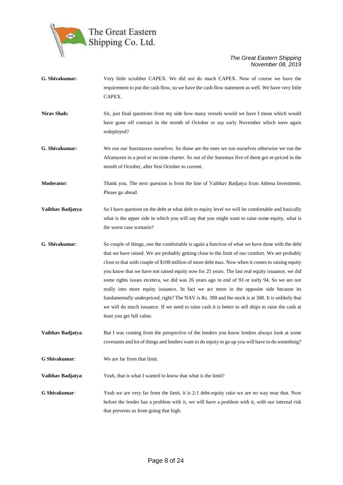

- **G. Shivakumar:** Very little scrubber CAPEX. We did not do much CAPEX. Now of course we have the requirement to put the cash flow, so we have the cash flow statement as well. We have very little CAPEX.
- **Nirav Shah:** Sir, just final questions from my side how many vessels would we have I mean which would have gone off contract in the month of October or say early November which were again redeployed?
- **G. Shivakumar:** We run our Suezmaxes ourselves. So those are the ones we run ourselves otherwise we run the Aframaxes in a pool or on time charter. So out of the Suezmax five of them got re-priced in the month of October, after first October to current.
- **Moderator:** Thank you. The next question is from the line of Vaibhav Badjatya from Athena Investment. Please go ahead.
- **Vaibhav Badjatya:** So I have question on the debt at what debt to equity level we will be comfortable and basically what is the upper side in which you will say that you might want to raise some equity, what is the worst case scenario?
- **G**. **Shivakumar**: So couple of things, one the comfortable is again a function of what we have done with the debt that we have raised. We are probably getting close to the limit of our comfort. We are probably close to that with couple of \$100 million of more debt max. Now when it comes to raising equity you know that we have not raised equity now for 25 years. The last real equity issuance, we did some rights issues etcetera, we did was 26 years ago in end of 93 or early 94. So we are not really into more equity issuance. In fact we act more in the opposite side because its fundamentally underpriced, right? The NAV is Rs. 390 and the stock is at 300. It is unlikely that we will do much issuance. If we need to raise cash it is better to sell ships to raise the cash at least you get full value.
- **Vaibhav Badjatya:** But I was coming from the perspective of the lenders you know lenders always look at some covenants and lot of things and lenders want to do equity to go up you will have to do something?
- **G Shivakumar**: We are far from that limit.

**Vaibhav Badjatya:** Yeah, that is what I wanted to know that what is the limit?

**G Shivakumar**: Yeah we are very far from the limit, it is 2:1 debt-equity ratio we are no way near that. Now before the lender has a problem with it, we will have a problem with it, with our internal risk that prevents us from going that high.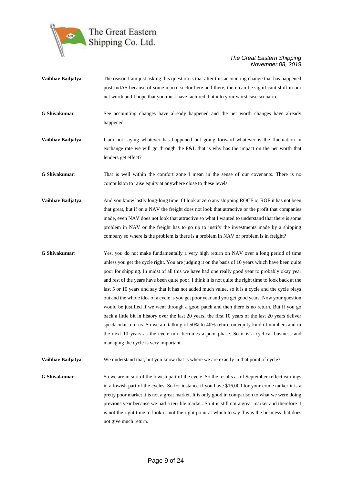

- **Vaibhav Badjatya**: The reason I am just asking this question is that after this accounting change that has happened post-IndAS because of some macro sector here and there, there can be significant shift in our net worth and I hope that you must have factored that into your worst case scenario.
- **G Shivakumar**: See accounting changes have already happened and the net worth changes have already happened.
- **Vaibhav Badjatya**: I am not saying whatever has happened but going forward whatever is the fluctuation in exchange rate we will go through the P&L that is why has the impact on the net worth that lenders get effect?
- **G Shivakumar**: That is well within the comfort zone I mean in the sense of our covenants. There is no compulsion to raise equity at anywhere close to these levels.
- **Vaibhav Badjatya:** And you know lastly long-long time if I look at zero any shipping ROCE or ROE it has not been that great, but if on a NAV the freight does not look that attractive or the profit that companies made, even NAV does not look that attractive so what I wanted to understand that there is some problem in NAV or the freight has to go up to justify the investments made by a shipping company so where is the problem is there is a problem in NAV or problem is in freight?
- **G Shivakumar**: Yes, you do not make fundamentally a very high return on NAV over a long period of time unless you get the cycle right. You are judging it on the basis of 10 years which have been quite poor for shipping. In midst of all this we have had one really good year to probably okay year and rest of the years have been quite poor. I think it is not quite the right time to look back at the last 5 or 10 years and say that it has not added much value, so it is a cycle and the cycle plays out and the whole idea of a cycle is you get poor year and you get good years. Now your question would be justified if we went through a good patch and then there is no return. But if you go back a little bit in history over the last 20 years, the first 10 years of the last 20 years deliver spectacular returns. So we are talking of 50% to 40% return on equity kind of numbers and in the next 10 years as the cycle turn becomes a poor phase. So it is a cyclical business and managing the cycle is very important.
- **Vaibhav Badjatya:** We understand that, but you know that is where we are exactly in that point of cycle?
- **G Shivakumar**: So we are in sort of the lowish part of the cycle. So the results as of September reflect earnings in a lowish part of the cycles. So for instance if you have \$16,000 for your crude tanker it is a pretty poor market it is not a great market. It is only good in comparison to what we were doing previous year because we had a terrible market. So it is still not a great market and therefore it is not the right time to look or not the right point at which to say this is the business that does not give much return.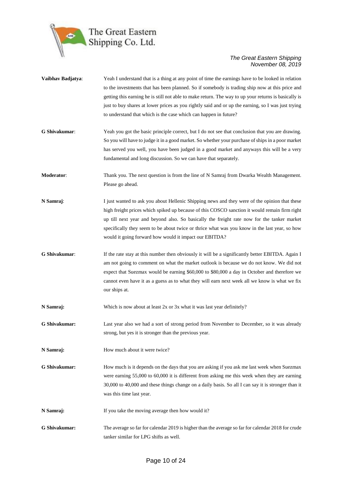

| Vaibhav Badjatya: | Yeah I understand that is a thing at any point of time the earnings have to be looked in relation<br>to the investments that has been planned. So if somebody is trading ship now at this price and<br>getting this earning he is still not able to make return. The way to up your returns is basically is                                                                                                                                             |
|-------------------|---------------------------------------------------------------------------------------------------------------------------------------------------------------------------------------------------------------------------------------------------------------------------------------------------------------------------------------------------------------------------------------------------------------------------------------------------------|
|                   | just to buy shares at lower prices as you rightly said and or up the earning, so I was just trying<br>to understand that which is the case which can happen in future?                                                                                                                                                                                                                                                                                  |
| G Shivakumar:     | Yeah you got the basic principle correct, but I do not see that conclusion that you are drawing.<br>So you will have to judge it in a good market. So whether your purchase of ships in a poor market<br>has served you well, you have been judged in a good market and anyways this will be a very<br>fundamental and long discussion. So we can have that separately.                                                                                 |
| Moderator:        | Thank you. The next question is from the line of N Samraj from Dwarka Wealth Management.<br>Please go ahead.                                                                                                                                                                                                                                                                                                                                            |
| N Samraj:         | I just wanted to ask you about Hellenic Shipping news and they were of the opinion that these<br>high freight prices which spiked up because of this COSCO sanction it would remain firm right<br>up till next year and beyond also. So basically the freight rate now for the tanker market<br>specifically they seem to be about twice or thrice what was you know in the last year, so how<br>would it going forward how would it impact our EBITDA? |
| G Shivakumar:     | If the rate stay at this number then obviously it will be a significantly better EBITDA. Again I<br>am not going to comment on what the market outlook is because we do not know. We did not<br>expect that Suezmax would be earning \$60,000 to \$80,000 a day in October and therefore we<br>cannot even have it as a guess as to what they will earn next week all we know is what we fix<br>our ships at.                                           |
| N Samraj:         | Which is now about at least 2x or 3x what it was last year definitely?                                                                                                                                                                                                                                                                                                                                                                                  |
| G Shivakumar:     | Last year also we had a sort of strong period from November to December, so it was already<br>strong, but yes it is stronger than the previous year.                                                                                                                                                                                                                                                                                                    |
| N Samraj:         | How much about it were twice?                                                                                                                                                                                                                                                                                                                                                                                                                           |
| G Shivakumar:     | How much is it depends on the days that you are asking if you ask me last week when Suezmax<br>were earning 55,000 to 60,000 it is different from asking me this week when they are earning<br>30,000 to 40,000 and these things change on a daily basis. So all I can say it is stronger than it<br>was this time last year.                                                                                                                           |
| N Samraj:         | If you take the moving average then how would it?                                                                                                                                                                                                                                                                                                                                                                                                       |
| G Shivakumar:     | The average so far for calendar 2019 is higher than the average so far for calendar 2018 for crude<br>tanker similar for LPG shifts as well.                                                                                                                                                                                                                                                                                                            |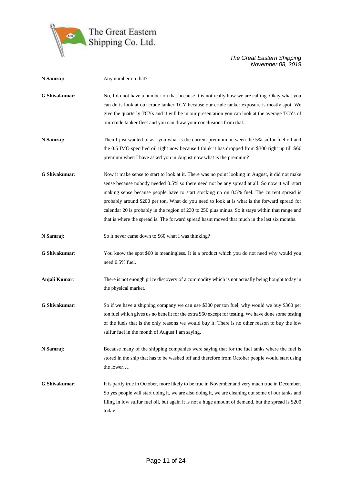

| N Samraj:            | Any number on that?                                                                                                                                                                                                                                                                                                                                                                                                                                                                                                                                                                                 |
|----------------------|-----------------------------------------------------------------------------------------------------------------------------------------------------------------------------------------------------------------------------------------------------------------------------------------------------------------------------------------------------------------------------------------------------------------------------------------------------------------------------------------------------------------------------------------------------------------------------------------------------|
| G Shivakumar:        | No, I do not have a number on that because it is not really how we are calling. Okay what you<br>can do is look at our crude tanker TCY because our crude tanker exposure is mostly spot. We<br>give the quarterly TCYs and it will be in our presentation you can look at the average TCYs of<br>our crude tanker fleet and you can draw your conclusions from that.                                                                                                                                                                                                                               |
| N Samraj:            | Then I just wanted to ask you what is the current premium between the 5% sulfur fuel oil and<br>the 0.5 IMO specified oil right now because I think it has dropped from \$300 right up till \$60<br>premium when I have asked you in August now what is the premium?                                                                                                                                                                                                                                                                                                                                |
| G Shivakumar:        | Now it make sense to start to look at it. There was no point looking in August, it did not make<br>sense because nobody needed 0.5% so there need not be any spread at all. So now it will start<br>making sense because people have to start stocking up on 0.5% fuel. The current spread is<br>probably around \$200 per ton. What do you need to look at is what is the forward spread for<br>calendar 20 is probably in the region of 230 to 250 plus minus. So it stays within that range and<br>that is where the spread is. The forward spread hasnt moved that much in the last six months. |
| N Samraj:            | So it never came down to \$60 what I was thinking?                                                                                                                                                                                                                                                                                                                                                                                                                                                                                                                                                  |
| G Shivakumar:        | You know the spot \$60 is meaningless. It is a product which you do not need why would you<br>need 0.5% fuel.                                                                                                                                                                                                                                                                                                                                                                                                                                                                                       |
| Anjali Kumar:        | There is not enough price discovery of a commodity which is not actually being bought today in<br>the physical market.                                                                                                                                                                                                                                                                                                                                                                                                                                                                              |
| <b>G</b> Shivakumar: | So if we have a shipping company we can use \$300 per ton fuel, why would we buy \$360 per<br>ton fuel which gives us no benefit for the extra \$60 except for testing. We have done some testing<br>of the fuels that is the only reasons we would buy it. There is no other reason to buy the low<br>sulfur fuel in the month of August I am saying.                                                                                                                                                                                                                                              |
| N Samraj:            | Because many of the shipping companies were saying that for the fuel tanks where the fuel is<br>stored in the ship that has to be washed off and therefore from October people would start using<br>the lower                                                                                                                                                                                                                                                                                                                                                                                       |
| <b>G</b> Shivakumar: | It is partly true in October, more likely to be true in November and very much true in December.<br>So yes people will start doing it, we are also doing it, we are cleaning out some of our tanks and<br>filing in low sulfur fuel oil, but again it is not a huge amount of demand, but the spread is \$200<br>today.                                                                                                                                                                                                                                                                             |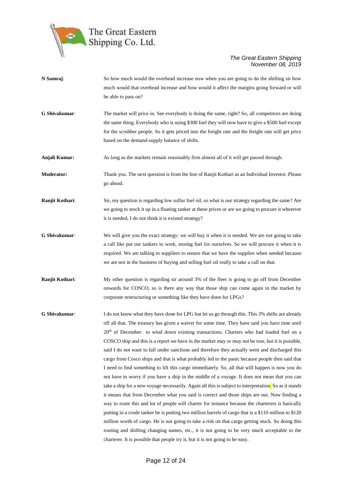

**N Samraj:** So how much would the overhead increase now when you are going to do the shifting sir how much would that overhead increase and how would it affect the margins going forward or will be able to pass on? **G Shivakumar**: The market will price in. See everybody is doing the same, right? So, all competitors are doing the same thing. Everybody who is using \$300 fuel they will now have to give a \$500 fuel except for the scrubber people. So it gets priced into the freight rate and the freight rate will get price based on the demand-supply balance of shifts. **Anjali Kumar:** As long as the markets remain reasonably firm almost all of it will get passed through. **Moderator:** Thank you. The next question is from the line of Ranjit Kothari as an Individual Investor. Please go ahead. **Ranjit Kothari:** Sir, my question is regarding low sulfur fuel oil, so what is our strategy regarding the same? Are we going to stock it up in a floating tanker at these prices or are we going to procure it wherever it is needed, I do not think it is existed strategy? **G Shivakumar**: We will give you the exact strategy: we will buy it when it is needed. We are not going to take a call like put our tankers to work, storing fuel for ourselves. So we will procure it when it is required. We are talking to suppliers to ensure that we have the supplies when needed because we are not in the business of buying and selling fuel oil really to take a call on that. **Ranjit Kothari:** My other question is regarding sir around 3% of the fleet is going to go off from December onwards for COSCO, so is there any way that those ship can come again in the market by corporate restructuring or something like they have done for LPGs? **G Shivakumar:** I do not know what they have done for LPG but let us go through this. This 3% shifts are already off all that. The treasury has given a waiver for some time. They have said you have time until 20<sup>th</sup> of December to wind down existing transactions. Charters who had loaded fuel on a COSCO ship and this is a report we have in the market may or may not be true, but it is possible, said I do not want to fall under sanctions and therefore they actually went and discharged this cargo from Cosco ships and that is what probably led to the panic because people then said that I need to find something to lift this cargo immediately. So, all that will happen is now you do not have to worry if you have a ship in the middle of a voyage. It does not mean that you can take a ship for a new voyage necessarily. Again all this is subject to interpretation. So as it stands it means that from December what you said is correct and those ships are out. Now finding a way to route this and lot of people will charter for instance because the charterers is basically putting in a crude tanker he is putting two million barrels of cargo that is a \$110 million to \$120 million worth of cargo. He is not going to take a risk on that cargo getting stuck. So doing this routing and shifting changing names, etc., it is not going to be very much acceptable to the charterer. It is possible that people try it, but it is not going to be easy.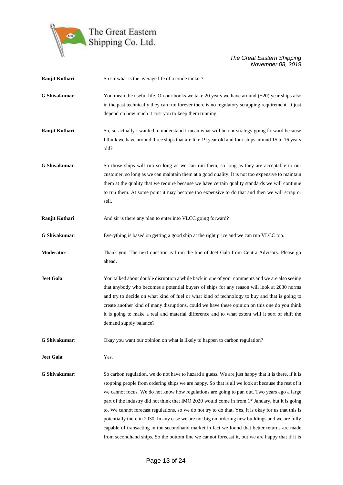

| Ranjit Kothari: | So sir what is the average life of a crude tanker?                                                                                                                                                                                                                                                                                                                                                                                                                                                                                                                                                                                                                                                                                                                                                                                        |
|-----------------|-------------------------------------------------------------------------------------------------------------------------------------------------------------------------------------------------------------------------------------------------------------------------------------------------------------------------------------------------------------------------------------------------------------------------------------------------------------------------------------------------------------------------------------------------------------------------------------------------------------------------------------------------------------------------------------------------------------------------------------------------------------------------------------------------------------------------------------------|
| G Shivakumar:   | You mean the useful life. On our books we take 20 years we have around $(+20)$ year ships also<br>in the past technically they can run forever there is no regulatory scrapping requirement. It just<br>depend on how much it cost you to keep them running.                                                                                                                                                                                                                                                                                                                                                                                                                                                                                                                                                                              |
| Ranjit Kothari: | So, sir actually I wanted to understand I mean what will be our strategy going forward because<br>I think we have around three ships that are like 19 year old and four ships around 15 to 16 years<br>old?                                                                                                                                                                                                                                                                                                                                                                                                                                                                                                                                                                                                                               |
| G Shivakumar:   | So those ships will run so long as we can run them, so long as they are acceptable to our<br>customer, so long as we can maintain them at a good quality. It is not too expensive to maintain<br>them at the quality that we require because we have certain quality standards we will continue<br>to run them. At some point it may become too expensive to do that and then we will scrap or<br>sell.                                                                                                                                                                                                                                                                                                                                                                                                                                   |
| Ranjit Kothari: | And sir is there any plan to enter into VLCC going forward?                                                                                                                                                                                                                                                                                                                                                                                                                                                                                                                                                                                                                                                                                                                                                                               |
| G Shivakumar:   | Everything is based on getting a good ship at the right price and we can run VLCC too.                                                                                                                                                                                                                                                                                                                                                                                                                                                                                                                                                                                                                                                                                                                                                    |
| Moderator:      | Thank you. The next question is from the line of Jeet Gala from Centra Advisors. Please go<br>ahead.                                                                                                                                                                                                                                                                                                                                                                                                                                                                                                                                                                                                                                                                                                                                      |
| Jeet Gala:      | You talked about double disruption a while back in one of your comments and we are also seeing<br>that anybody who becomes a potential buyers of ships for any reason will look at 2030 norms<br>and try to decide on what kind of fuel or what kind of technology to buy and that is going to<br>create another kind of many disruptions, could we have these opinion on this one do you think<br>it is going to make a real and material difference and to what extent will it sort of shift the<br>demand supply balance?                                                                                                                                                                                                                                                                                                              |
| G Shivakumar:   | Okay you want our opinion on what is likely to happen to carbon regulation?                                                                                                                                                                                                                                                                                                                                                                                                                                                                                                                                                                                                                                                                                                                                                               |
| Jeet Gala:      | Yes.                                                                                                                                                                                                                                                                                                                                                                                                                                                                                                                                                                                                                                                                                                                                                                                                                                      |
| G Shivakumar:   | So carbon regulation, we do not have to hazard a guess. We are just happy that it is there, if it is<br>stopping people from ordering ships we are happy. So that is all we look at because the rest of it<br>we cannot focus. We do not know how regulations are going to pan out. Two years ago a large<br>part of the industry did not think that IMO 2020 would come in from 1 <sup>st</sup> January, but it is going<br>to. We cannot forecast regulations, so we do not try to do that. Yes, it is okay for us that this is<br>potentially there in 2030. In any case we are not big on ordering new buildings and we are fully<br>capable of transacting in the secondhand market in fact we found that better returns are made<br>from secondhand ships. So the bottom line we cannot forecast it, but we are happy that if it is |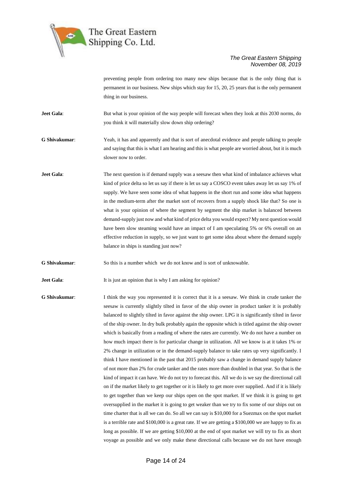

preventing people from ordering too many new ships because that is the only thing that is permanent in our business. New ships which stay for 15, 20, 25 years that is the only permanent thing in our business.

**Jeet Gala:** But what is your opinion of the way people will forecast when they look at this 2030 norms, do you think it will materially slow down ship ordering?

**G Shivakumar**: Yeah, it has and apparently and that is sort of anecdotal evidence and people talking to people and saying that this is what I am hearing and this is what people are worried about, but it is much slower now to order.

**Jeet Gala:** The next question is if demand supply was a seesaw then what kind of imbalance achieves what kind of price delta so let us say if there is let us say a COSCO event takes away let us say 1% of supply. We have seen some idea of what happens in the short run and some idea what happens in the medium-term after the market sort of recovers from a supply shock like that? So one is what is your opinion of where the segment by segment the ship market is balanced between demand-supply just now and what kind of price delta you would expect? My next question would have been slow steaming would have an impact of I am speculating 5% or 6% overall on an effective reduction in supply, so we just want to get some idea about where the demand supply balance in ships is standing just now?

**G Shivakumar**: So this is a number which we do not know and is sort of unknowable.

**Jeet Gala:** It is just an opinion that is why I am asking for opinion?

**G Shivakumar**: I think the way you represented it is correct that it is a seesaw. We think in crude tanker the seesaw is currently slightly tilted in favor of the ship owner in product tanker it is probably balanced to slightly tilted in favor against the ship owner. LPG it is significantly tilted in favor of the ship owner. In dry bulk probably again the opposite which is titled against the ship owner which is basically from a reading of where the rates are currently. We do not have a number on how much impact there is for particular change in utilization. All we know is at it takes 1% or 2% change in utilization or in the demand-supply balance to take rates up very significantly. I think I have mentioned in the past that 2015 probably saw a change in demand supply balance of not more than 2% for crude tanker and the rates more than doubled in that year. So that is the kind of impact it can have. We do not try to forecast this. All we do is we say the directional call on if the market likely to get together or it is likely to get more over supplied. And if it is likely to get together than we keep our ships open on the spot market. If we think it is going to get oversupplied in the market it is going to get weaker than we try to fix some of our ships out on time charter that is all we can do. So all we can say is \$10,000 for a Suezmax on the spot market is a terrible rate and \$100,000 is a great rate. If we are getting a \$100,000 we are happy to fix as long as possible. If we are getting \$10,000 at the end of spot market we will try to fix as short voyage as possible and we only make these directional calls because we do not have enough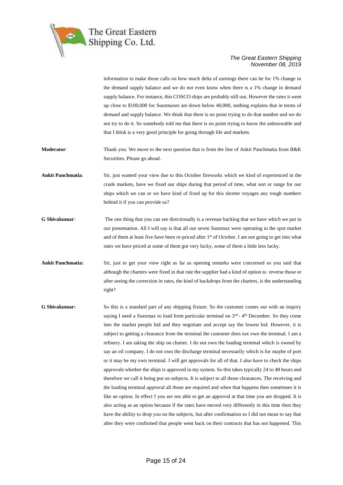

information to make those calls on how much delta of earnings there can be for 1% change in the demand supply balance and we do not even know when there is a 1% change in demand supply balance. For instance, this COSCO ships are probably still out. However the rates it went up close to \$100,000 for Suezmaxes are down below 40,000, nothing explains that in terms of demand and supply balance. We think that there is no point trying to do that number and we do not try to do it. So somebody told me that there is no point trying to know the unknowable and that I think is a very good principle for going through life and markets.

**Moderator**: Thank you. We move to the next question that is from the line of Ankit Panchmatia from B&K Securities. Please go ahead.

**Ankit Panchmatia**: Sir, just wanted your view due to this October fireworks which we kind of experienced in the crude markets, have we fixed our ships during that period of time, what sort or range for our ships which we can or we have kind of fixed up for this shorter voyages any rough numbers behind it if you can provide us?

- **G Shivakumar**: The one thing that you can see directionally is a revenue backlog that we have which we put in our presentation. All I will say is that all our seven Suezmax were operating in the spot market and of them at least five have been re-priced after  $1<sup>st</sup>$  of October. I am not going to get into what rates we have priced at some of them got very lucky, some of them a little less lucky.
- **Ankit Panchmatia:** Sir, just to get your view right as far as opening remarks were concerned so you said that although the charters were fixed in that rate the supplier had a kind of option to reverse those or after seeing the correction in rates, the kind of backdrops from the charters, is the understanding right?
- **G Shivakumar:** So this is a standard part of any shipping fixture. So the customer comes out with an inquiry saying I need a Suezmax to load from particular terminal on  $3<sup>rd</sup>$  - 4<sup>th</sup> December. So they come into the market people bid and they negotiate and accept say the lowest bid. However, it is subject to getting a clearance from the terminal the customer does not own the terminal. I am a refinery. I am taking the ship on charter. I do not own the loading terminal which is owned by say an oil company. I do not own the discharge terminal necessarily which is for maybe of port or it may be my own terminal. I will get approvals for all of that. I also have to check the ships approvals whether the ships is approved in my system. So this takes typically 24 to 48 hours and therefore we call it being put on subjects. It is subject to all those clearances. The receiving and the loading terminal approval all those are required and when that happens then sometimes it is like an option. In effect f you are not able to get an approval at that time you are dropped. It is also acting as an option because if the rates have moved very differently in this time then they have the ability to drop you on the subjects, but after confirmation so I did not mean to say that after they were confirmed that people went back on their contracts that has not happened. This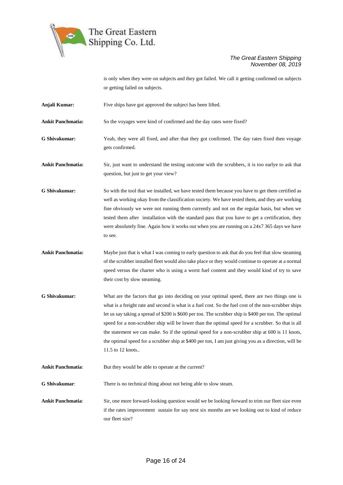

is only when they were on subjects and they got failed. We call it getting confirmed on subjects or getting failed on subjects.

**Anjali Kumar:** Five ships have got approved the subject has been lifted.

**Ankit Panchmatia:** So the voyages were kind of confirmed and the day rates were fixed?

- **G Shivakumar:** Yeah, they were all fixed, and after that they got confirmed. The day rates fixed then voyage gets confirmed.
- **Ankit Panchmatia:** Sir, just want to understand the testing outcome with the scrubbers, it is too earlye to ask that question, but just to get your view?
- **G Shivakumar:** So with the tool that we installed, we have tested them because you have to get them certified as well as working okay from the classification society. We have tested them, and they are working fine obviously we were not running them currently and not on the regular basis, but when we tested them after installation with the standard pass that you have to get a certification, they were absolutely fine. Again how it works out when you are running on a 24x7 365 days we have to see.
- **Ankit Panchmatia:** Maybe just that is what I was coming to early question to ask that do you feel that slow steaming of the scrubber installed fleet would also take place or they would continue to operate at a normal speed versus the charter who is using a worst fuel content and they would kind of try to save their cost by slow steaming.
- **G Shivakumar:** What are the factors that go into deciding on your optimal speed, there are two things one is what is a freight rate and second is what is a fuel cost. So the fuel cost of the non-scrubber ships let us say taking a spread of \$200 is \$600 per ton. The scrubber ship is \$400 per ton. The optimal speed for a non-scrubber ship will be lower than the optimal speed for a scrubber. So that is all the statement we can make. So if the optimal speed for a non-scrubber ship at 600 is 11 knots, the optimal speed for a scrubber ship at \$400 per ton, I am just giving you as a direction, will be 11.5 to 12 knots..

Ankit Panchmatia: But they would be able to operate at the current?

**G Shivakumar**: There is no technical thing about not being able to slow steam.

**Ankit Panchmatia:** Sir, one more forward-looking question would we be looking forward to trim our fleet size even if the rates improvement sustain for say next six months are we looking out to kind of reduce our fleet size?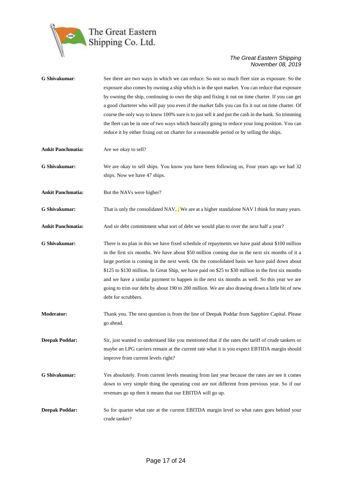

| G Shivakumar:            | See there are two ways in which we can reduce. So not so much fleet size as exposure. So the<br>exposure also comes by owning a ship which is in the spot market. You can reduce that exposure<br>by owning the ship, continuing to own the ship and fixing it out on time charter. If you can get<br>a good charterer who will pay you even if the market falls you can fix it out on time charter. Of<br>course the only way to know 100% sure is to just sell it and put the cash in the bank. So trimming<br>the fleet can be in one of two ways which basically going to reduce your long position. You can<br>reduce it by either fixing out on charter for a reasonable period or by selling the ships. |
|--------------------------|----------------------------------------------------------------------------------------------------------------------------------------------------------------------------------------------------------------------------------------------------------------------------------------------------------------------------------------------------------------------------------------------------------------------------------------------------------------------------------------------------------------------------------------------------------------------------------------------------------------------------------------------------------------------------------------------------------------|
| <b>Ankit Panchmatia:</b> | Are we okay to sell?                                                                                                                                                                                                                                                                                                                                                                                                                                                                                                                                                                                                                                                                                           |
| <b>G</b> Shivakumar:     | We are okay to sell ships. You know you have been following us, Four years ago we had 32<br>ships. Now we have 47 ships.                                                                                                                                                                                                                                                                                                                                                                                                                                                                                                                                                                                       |
| <b>Ankit Panchmatia:</b> | But the NAVs were higher?                                                                                                                                                                                                                                                                                                                                                                                                                                                                                                                                                                                                                                                                                      |
| G Shivakumar:            | That is only the consolidated NAV, We are at a higher standalone NAV I think for many years.                                                                                                                                                                                                                                                                                                                                                                                                                                                                                                                                                                                                                   |
| <b>Ankit Panchmatia:</b> | And sir debt commitment what sort of debt we would plan to over the next half a year?                                                                                                                                                                                                                                                                                                                                                                                                                                                                                                                                                                                                                          |
| G Shivakumar:            | There is no plan in this we have fixed schedule of repayments we have paid about \$100 million<br>in the first six months. We have about \$50 million coming due in the next six months of it a<br>large portion is coming in the next week. On the consolidated basis we have paid down about<br>\$125 to \$130 million. In Great Ship, we have paid on \$25 to \$30 million in the first six months<br>and we have a similar payment to happen in the next six months as well. So this year we are<br>going to trim our debt by about 190 to 200 million. We are also drawing down a little bit of new<br>debt for scrubbers.                                                                                |
| <b>Moderator:</b>        | Thank you. The next question is from the line of Deepak Poddar from Sapphire Capital. Please<br>go ahead.                                                                                                                                                                                                                                                                                                                                                                                                                                                                                                                                                                                                      |
| <b>Deepak Poddar:</b>    | Sir, just wanted to understand like you mentioned that if the rates the tariff of crude tankers or<br>maybe an LPG carriers remain at the current rate what it is you expect EBTIDA margin should<br>improve from current levels right?                                                                                                                                                                                                                                                                                                                                                                                                                                                                        |
| G Shivakumar:            | Yes absolutely. From current levels meaning from last year because the rates are see it comes<br>down to very simple thing the operating cost are not different from previous year. So if our<br>revenues go up then it means that our EBITDA will go up.                                                                                                                                                                                                                                                                                                                                                                                                                                                      |
| <b>Deepak Poddar:</b>    | So for quarter what rate at the current EBITDA margin level so what rates goes behind your<br>crude tanker?                                                                                                                                                                                                                                                                                                                                                                                                                                                                                                                                                                                                    |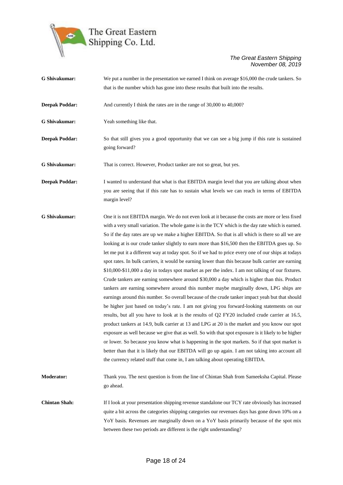

| G Shivakumar:         | We put a number in the presentation we earned I think on average \$16,000 the crude tankers. So                                                                                                                                                                                                                                                                                                                                                                                                                                                                                                                                                                                                                                                                                                                                                                                                                                                                                                                                                                                                                                                                                                                                                                                                                                                                                                                                                                                                                                                                                                                                                                                                                        |
|-----------------------|------------------------------------------------------------------------------------------------------------------------------------------------------------------------------------------------------------------------------------------------------------------------------------------------------------------------------------------------------------------------------------------------------------------------------------------------------------------------------------------------------------------------------------------------------------------------------------------------------------------------------------------------------------------------------------------------------------------------------------------------------------------------------------------------------------------------------------------------------------------------------------------------------------------------------------------------------------------------------------------------------------------------------------------------------------------------------------------------------------------------------------------------------------------------------------------------------------------------------------------------------------------------------------------------------------------------------------------------------------------------------------------------------------------------------------------------------------------------------------------------------------------------------------------------------------------------------------------------------------------------------------------------------------------------------------------------------------------------|
|                       | that is the number which has gone into these results that built into the results.                                                                                                                                                                                                                                                                                                                                                                                                                                                                                                                                                                                                                                                                                                                                                                                                                                                                                                                                                                                                                                                                                                                                                                                                                                                                                                                                                                                                                                                                                                                                                                                                                                      |
| <b>Deepak Poddar:</b> | And currently I think the rates are in the range of 30,000 to 40,000?                                                                                                                                                                                                                                                                                                                                                                                                                                                                                                                                                                                                                                                                                                                                                                                                                                                                                                                                                                                                                                                                                                                                                                                                                                                                                                                                                                                                                                                                                                                                                                                                                                                  |
| G Shivakumar:         | Yeah something like that.                                                                                                                                                                                                                                                                                                                                                                                                                                                                                                                                                                                                                                                                                                                                                                                                                                                                                                                                                                                                                                                                                                                                                                                                                                                                                                                                                                                                                                                                                                                                                                                                                                                                                              |
| <b>Deepak Poddar:</b> | So that still gives you a good opportunity that we can see a big jump if this rate is sustained<br>going forward?                                                                                                                                                                                                                                                                                                                                                                                                                                                                                                                                                                                                                                                                                                                                                                                                                                                                                                                                                                                                                                                                                                                                                                                                                                                                                                                                                                                                                                                                                                                                                                                                      |
| <b>G</b> Shivakumar:  | That is correct. However, Product tanker are not so great, but yes.                                                                                                                                                                                                                                                                                                                                                                                                                                                                                                                                                                                                                                                                                                                                                                                                                                                                                                                                                                                                                                                                                                                                                                                                                                                                                                                                                                                                                                                                                                                                                                                                                                                    |
| <b>Deepak Poddar:</b> | I wanted to understand that what is that EBITDA margin level that you are talking about when<br>you are seeing that if this rate has to sustain what levels we can reach in terms of EBITDA<br>margin level?                                                                                                                                                                                                                                                                                                                                                                                                                                                                                                                                                                                                                                                                                                                                                                                                                                                                                                                                                                                                                                                                                                                                                                                                                                                                                                                                                                                                                                                                                                           |
| G Shivakumar:         | One it is not EBITDA margin. We do not even look at it because the costs are more or less fixed<br>with a very small variation. The whole game is in the TCY which is the day rate which is earned.<br>So if the day rates are up we make a higher EBITDA. So that is all which is there so all we are<br>looking at is our crude tanker slightly to earn more than \$16,500 then the EBITDA goes up. So<br>let me put it a different way at today spot. So if we had to price every one of our ships at todays<br>spot rates. In bulk carriers, it would be earning lower than this because bulk carrier are earning<br>\$10,000-\$11,000 a day in todays spot market as per the index. I am not talking of our fixtures.<br>Crude tankers are earning somewhere around \$30,000 a day which is higher than this. Product<br>tankers are earning somewhere around this number maybe marginally down, LPG ships are<br>earnings around this number. So overall because of the crude tanker impact yeah but that should<br>be higher just based on today's rate. I am not giving you forward-looking statements on our<br>results, but all you have to look at is the results of Q2 FY20 included crude carrier at 16.5,<br>product tankers at 14.9, bulk carrier at 13 and LPG at 20 is the market and you know our spot<br>exposure as well because we give that as well. So with that spot exposure is it likely to be higher<br>or lower. So because you know what is happening in the spot markets. So if that spot market is<br>better than that it is likely that our EBITDA will go up again. I am not taking into account all<br>the currency related stuff that come in, I am talking about operating EBITDA. |
| <b>Moderator:</b>     | Thank you. The next question is from the line of Chintan Shah from Sameeksha Capital. Please<br>go ahead.                                                                                                                                                                                                                                                                                                                                                                                                                                                                                                                                                                                                                                                                                                                                                                                                                                                                                                                                                                                                                                                                                                                                                                                                                                                                                                                                                                                                                                                                                                                                                                                                              |
| <b>Chintan Shah:</b>  | If I look at your presentation shipping revenue standalone our TCY rate obviously has increased<br>quite a bit across the categories shipping categories our revenues days has gone down 10% on a<br>YoY basis. Revenues are marginally down on a YoY basis primarily because of the spot mix<br>between these two periods are different is the right understanding?                                                                                                                                                                                                                                                                                                                                                                                                                                                                                                                                                                                                                                                                                                                                                                                                                                                                                                                                                                                                                                                                                                                                                                                                                                                                                                                                                   |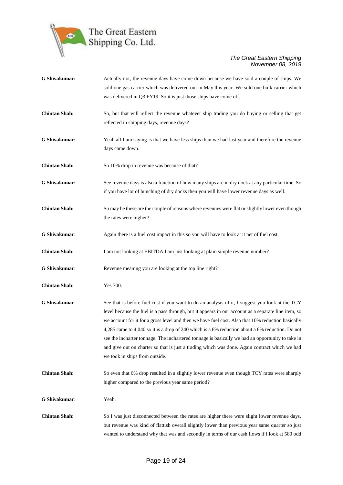

| G Shivakumar:        | Actually not, the revenue days have come down because we have sold a couple of ships. We<br>sold one gas carrier which was delivered out in May this year. We sold one bulk carrier which<br>was delivered in Q3 FY19. So it is just those ships have come off.                                                                                                                                                                                                                                                                                                                                                                                       |
|----------------------|-------------------------------------------------------------------------------------------------------------------------------------------------------------------------------------------------------------------------------------------------------------------------------------------------------------------------------------------------------------------------------------------------------------------------------------------------------------------------------------------------------------------------------------------------------------------------------------------------------------------------------------------------------|
| <b>Chintan Shah:</b> | So, but that will reflect the revenue whatever ship trading you do buying or selling that get<br>reflected in shipping days, revenue days?                                                                                                                                                                                                                                                                                                                                                                                                                                                                                                            |
| G Shivakumar:        | Yeah all I am saying is that we have less ships than we had last year and therefore the revenue<br>days came down.                                                                                                                                                                                                                                                                                                                                                                                                                                                                                                                                    |
| <b>Chintan Shah:</b> | So 10% drop in revenue was because of that?                                                                                                                                                                                                                                                                                                                                                                                                                                                                                                                                                                                                           |
| G Shivakumar:        | See revenue days is also a function of how many ships are in dry dock at any particular time. So<br>if you have lot of bunching of dry docks then you will have lower revenue days as well.                                                                                                                                                                                                                                                                                                                                                                                                                                                           |
| <b>Chintan Shah:</b> | So may be these are the couple of reasons where revenues were flat or slightly lower even though<br>the rates were higher?                                                                                                                                                                                                                                                                                                                                                                                                                                                                                                                            |
| G Shivakumar:        | Again there is a fuel cost impact in this so you will have to look at it net of fuel cost.                                                                                                                                                                                                                                                                                                                                                                                                                                                                                                                                                            |
| <b>Chintan Shah:</b> | I am not looking at EBITDA I am just looking at plain simple revenue number?                                                                                                                                                                                                                                                                                                                                                                                                                                                                                                                                                                          |
| G Shivakumar:        | Revenue meaning you are looking at the top line right?                                                                                                                                                                                                                                                                                                                                                                                                                                                                                                                                                                                                |
| <b>Chintan Shah:</b> | Yes 700.                                                                                                                                                                                                                                                                                                                                                                                                                                                                                                                                                                                                                                              |
| G Shivakumar:        | See that is before fuel cost if you want to do an analysis of it, I suggest you look at the TCY<br>level because the fuel is a pass through, but it appears in our account as a separate line item, so<br>we account for it for a gross level and then we have fuel cost. Also that 10% reduction basically<br>4,285 came to 4,040 so it is a drop of 240 which is a 6% reduction about a 6% reduction. Do not<br>see the incharter tonnage. The inchartered tonnage is basically we had an opportunity to take in<br>and give out on charter so that is just a trading which was done. Again contract which we had<br>we took in ships from outside. |
| <b>Chintan Shah:</b> | So even that 6% drop resulted in a slightly lower revenue even though TCY rates were sharply<br>higher compared to the previous year same period?                                                                                                                                                                                                                                                                                                                                                                                                                                                                                                     |
| G Shivakumar:        | Yeah.                                                                                                                                                                                                                                                                                                                                                                                                                                                                                                                                                                                                                                                 |
| <b>Chintan Shah:</b> | So I was just disconnected between the rates are higher there were slight lower revenue days,<br>but revenue was kind of flattish overall slightly lower than previous year same quarter so just<br>wanted to understand why that was and secondly in terms of our cash flows if I look at 580 odd                                                                                                                                                                                                                                                                                                                                                    |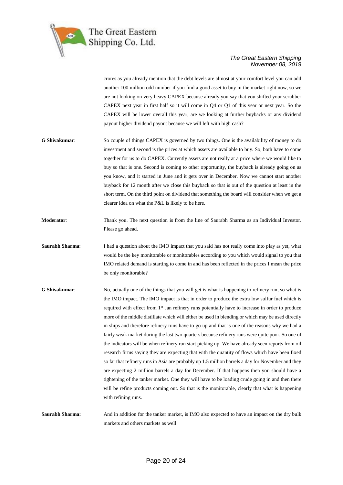

crores as you already mention that the debt levels are almost at your comfort level you can add another 100 million odd number if you find a good asset to buy in the market right now, so we are not looking on very heavy CAPEX because already you say that you shifted your scrubber CAPEX next year in first half so it will come in Q4 or Q1 of this year or next year. So the CAPEX will be lower overall this year, are we looking at further buybacks or any dividend payout higher dividend payout because we will left with high cash?

- **G Shivakumar**: So couple of things CAPEX is governed by two things. One is the availability of money to do investment and second is the prices at which assets are available to buy. So, both have to come together for us to do CAPEX. Currently assets are not really at a price where we would like to buy so that is one. Second is coming to other opportunity, the buyback is already going on as you know, and it started in June and it gets over in December. Now we cannot start another buyback for 12 month after we close this buyback so that is out of the question at least in the short term. On the third point on dividend that something the board will consider when we get a clearer idea on what the P&L is likely to be here.
- **Moderator**: Thank you. The next question is from the line of Saurabh Sharma as an Individual Investor. Please go ahead.
- **Saurabh Sharma**: I had a question about the IMO impact that you said has not really come into play as yet, what would be the key monitorable or monitorables according to you which would signal to you that IMO related demand is starting to come in and has been reflected in the prices I mean the price be only monitorable?
- **G Shivakumar:** No, actually one of the things that you will get is what is happening to refinery run, so what is the IMO impact. The IMO impact is that in order to produce the extra low sulfur fuel which is required with effect from 1<sup>st</sup> Jan refinery runs potentially have to increase in order to produce more of the middle distillate which will either be used in blending or which may be used directly in ships and therefore refinery runs have to go up and that is one of the reasons why we had a fairly weak market during the last two quarters because refinery runs were quite poor. So one of the indicators will be when refinery run start picking up. We have already seen reports from oil research firms saying they are expecting that with the quantity of flows which have been fixed so far that refinery runs in Asia are probably up 1.5 million barrels a day for November and they are expecting 2 million barrels a day for December. If that happens then you should have a tightening of the tanker market. One they will have to be loading crude going in and then there will be refine products coming out. So that is the monitorable, clearly that what is happening with refining runs.

**Saurabh Sharma:** And in addition for the tanker market, is IMO also expected to have an impact on the dry bulk markets and others markets as well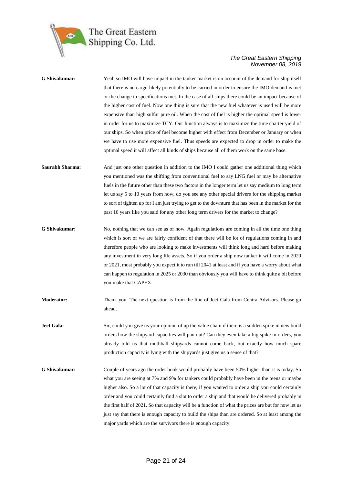

| G Shivakumar:     | Yeah so IMO will have impact in the tanker market is on account of the demand for ship itself<br>that there is no cargo likely potentially to be carried in order to ensure the IMO demand is met<br>or the change in specifications met. In the case of all ships there could be an impact because of<br>the higher cost of fuel. Now one thing is sure that the new fuel whatever is used will be more<br>expensive than high sulfur pure oil. When the cost of fuel is higher the optimal speed is lower<br>in order for us to maximize TCY. Our function always is to maximize the time charter yield of<br>our ships. So when price of fuel become higher with effect from December or January or when<br>we have to use more expensive fuel. Thus speeds are expected to drop in order to make the |
|-------------------|----------------------------------------------------------------------------------------------------------------------------------------------------------------------------------------------------------------------------------------------------------------------------------------------------------------------------------------------------------------------------------------------------------------------------------------------------------------------------------------------------------------------------------------------------------------------------------------------------------------------------------------------------------------------------------------------------------------------------------------------------------------------------------------------------------|
|                   | optimal speed it will affect all kinds of ships because all of them work on the same base.                                                                                                                                                                                                                                                                                                                                                                                                                                                                                                                                                                                                                                                                                                               |
| Saurabh Sharma:   | And just one other question in addition to the IMO I could gather one additional thing which<br>you mentioned was the shifting from conventional fuel to say LNG fuel or may be alternative<br>fuels in the future other than these two factors in the longer term let us say medium to long term<br>let us say 5 to 10 years from now, do you see any other special drivers for the shipping market<br>to sort of tighten up for I am just trying to get to the downturn that has been in the market for the<br>past 10 years like you said for any other long term drivers for the market to change?                                                                                                                                                                                                   |
| G Shivakumar:     | No, nothing that we can see as of now. Again regulations are coming in all the time one thing<br>which is sort of we are fairly confident of that there will be lot of regulations coming in and<br>therefore people who are looking to make investments will think long and hard before making<br>any investment in very long life assets. So if you order a ship now tanker it will come in 2020<br>or 2021, most probably you expect it to run till 2041 at least and if you have a worry about what<br>can happen to regulation in 2025 or 2030 than obviously you will have to think quite a bit before<br>you make that CAPEX.                                                                                                                                                                     |
| Moderator:        | Thank you. The next question is from the line of Jeet Gala from Centra Advisors. Please go<br>ahead.                                                                                                                                                                                                                                                                                                                                                                                                                                                                                                                                                                                                                                                                                                     |
| <b>Jeet Gala:</b> | Sir, could you give us your opinion of up the value chain if there is a sudden spike in new build<br>orders how the shipyard capacities will pan out? Can they even take a big spike in orders, you<br>already told us that mothball shipyards cannot come back, but exactly how much spare<br>production capacity is lying with the shipyards just give us a sense of that?                                                                                                                                                                                                                                                                                                                                                                                                                             |
| G Shivakumar:     | Couple of years ago the order book would probably have been 50% higher than it is today. So<br>what you are seeing at 7% and 9% for tankers could probably have been in the teens or maybe<br>higher also. So a lot of that capacity is there, if you wanted to order a ship you could certainly<br>order and you could certainly find a slot to order a ship and that would be delivered probably in<br>the first half of 2021. So that capacity will be a function of what the prices are but for now let us<br>just say that there is enough capacity to build the ships than are ordered. So at least among the<br>major yards which are the survivors there is enough capacity.                                                                                                                     |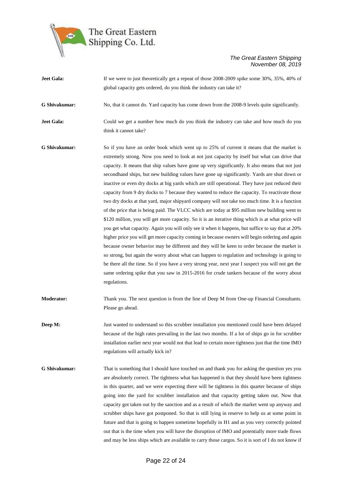

| Jeet Gala:           | If we were to just theoretically get a repeat of those 2008-2009 spike some 30%, 35%, 40% of                                                                                                                                                                                                                                                                                                                                                                                                                                                                                                                                                                                                                                                                                                                                                                                                                                                                                                                                                                                                                                                                                                                                                                                                                                                                                                                                                                                                                                                 |
|----------------------|----------------------------------------------------------------------------------------------------------------------------------------------------------------------------------------------------------------------------------------------------------------------------------------------------------------------------------------------------------------------------------------------------------------------------------------------------------------------------------------------------------------------------------------------------------------------------------------------------------------------------------------------------------------------------------------------------------------------------------------------------------------------------------------------------------------------------------------------------------------------------------------------------------------------------------------------------------------------------------------------------------------------------------------------------------------------------------------------------------------------------------------------------------------------------------------------------------------------------------------------------------------------------------------------------------------------------------------------------------------------------------------------------------------------------------------------------------------------------------------------------------------------------------------------|
|                      | global capacity gets ordered, do you think the industry can take it?                                                                                                                                                                                                                                                                                                                                                                                                                                                                                                                                                                                                                                                                                                                                                                                                                                                                                                                                                                                                                                                                                                                                                                                                                                                                                                                                                                                                                                                                         |
| G Shivakumar:        | No, that it cannot do. Yard capacity has come down from the 2008-9 levels quite significantly.                                                                                                                                                                                                                                                                                                                                                                                                                                                                                                                                                                                                                                                                                                                                                                                                                                                                                                                                                                                                                                                                                                                                                                                                                                                                                                                                                                                                                                               |
| <b>Jeet Gala:</b>    | Could we get a number how much do you think the industry can take and how much do you<br>think it cannot take?                                                                                                                                                                                                                                                                                                                                                                                                                                                                                                                                                                                                                                                                                                                                                                                                                                                                                                                                                                                                                                                                                                                                                                                                                                                                                                                                                                                                                               |
| G Shivakumar:        | So if you have an order book which went up to 25% of current it means that the market is<br>extremely strong. Now you need to look at not just capacity by itself but what can drive that<br>capacity. It means that ship values have gone up very significantly. It also means that not just<br>secondhand ships, but new building values have gone up significantly. Yards are shut down or<br>inactive or even dry docks at big yards which are still operational. They have just reduced their<br>capacity from 9 dry docks to 7 because they wanted to reduce the capacity. To reactivate those<br>two dry docks at that yard, major shipyard company will not take too much time. It is a function<br>of the price that is being paid. The VLCC which are today at \$95 million new building went to<br>\$120 million, you will get more capacity. So it is an iterative thing which is at what price will<br>you get what capacity. Again you will only see it when it happens, but suffice to say that at 20%<br>higher price you will get more capacity coming in because owners will begin ordering and again<br>because owner behavior may be different and they will be keen to order because the market is<br>so strong, but again the worry about what can happen to regulation and technology is going to<br>be there all the time. So if you have a very strong year, next year I suspect you will not get the<br>same ordering spike that you saw in 2015-2016 for crude tankers because of the worry about<br>regulations. |
| <b>Moderator:</b>    | Thank you. The next question is from the line of Deep M from One-up Financial Consultants.<br>Please go ahead.                                                                                                                                                                                                                                                                                                                                                                                                                                                                                                                                                                                                                                                                                                                                                                                                                                                                                                                                                                                                                                                                                                                                                                                                                                                                                                                                                                                                                               |
| Deep M:              | Just wanted to understand so this scrubber installation you mentioned could have been delayed<br>because of the high rates prevailing in the last two months. If a lot of ships go in for scrubber<br>installation earlier next year would not that lead to certain more tightness just that the time IMO<br>regulations will actually kick in?                                                                                                                                                                                                                                                                                                                                                                                                                                                                                                                                                                                                                                                                                                                                                                                                                                                                                                                                                                                                                                                                                                                                                                                              |
| <b>G</b> Shivakumar: | That is something that I should have touched on and thank you for asking the question yes you<br>are absolutely correct. The tightness what has happened is that they should have been tightness<br>in this quarter, and we were expecting there will be tightness in this quarter because of ships<br>going into the yard for scrubber installation and that capacity getting taken out. Now that<br>capacity got taken out by the sanction and as a result of which the market went up anyway and<br>scrubber ships have got postponed. So that is still lying in reserve to help us at some point in<br>future and that is going to happen sometime hopefully in H1 and as you very correctly pointed<br>out that is the time when you will have the disruption of IMO and potentially more trade flows<br>and may be less ships which are available to carry those cargos. So it is sort of I do not know if                                                                                                                                                                                                                                                                                                                                                                                                                                                                                                                                                                                                                             |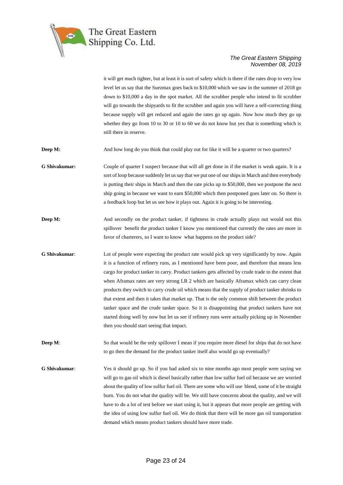

it will get much tighter, but at least it is sort of safety which is there if the rates drop to very low level let us say that the Suezmax goes back to \$10,000 which we saw in the summer of 2018 go down to \$10,000 a day in the spot market. All the scrubber people who intend to fit scrubber will go towards the shipyards to fit the scrubber and again you will have a self-correcting thing because supply will get reduced and again the rates go up again. Now how much they go up whether they go from 10 to 30 or 10 to 60 we do not know but yes that is something which is still there in reserve.

**Deep M:** And how long do you think that could play out for like it will be a quarter or two quarters?

**G Shivakumar:** Couple of quarter I suspect because that will all get done in if the market is weak again. It is a sort of loop because suddenly let us say that we put one of our ships in March and then everybody is putting their ships in March and then the rate picks up to \$50,000, then we postpone the next ship going in because we want to earn \$50,000 which then postponed goes later on. So there is a feedback loop but let us see how it plays out. Again it is going to be interesting.

**Deep M:** And secondly on the product tanker, if tightness in crude actually plays out would not this spillover benefit the product tanker I know you mentioned that currently the rates are more in favor of charterers, so I want to know what happens on the product side?

**G Shivakumar:** Lot of people were expecting the product rate would pick up very significantly by now. Again it is a function of refinery runs, as I mentioned have been poor, and therefore that means less cargo for product tanker to carry. Product tankers gets affected by crude trade to the extent that when Aframax rates are very strong LR 2 which are basically Aframax which can carry clean products they switch to carry crude oil which means that the supply of product tanker shrinks to that extent and then it takes that market up. That is the only common shift between the product tanker space and the crude tanker space. So it is disappointing that product tankers have not started doing well by now but let us see if refinery runs were actually picking up in November then you should start seeing that impact.

**Deep M:** So that would be the only spillover I mean if you require more diesel for ships that do not have to go then the demand for the product tanker itself also would go up eventually?

**G Shivakumar**: Yes it should go up. So if you had asked six to nine months ago most people were saying we will go to gas oil which is diesel basically rather than low sulfur fuel oil because we are worried about the quality of low sulfur fuel oil. There are some who will use blend, some of it be straight burn. You do not what the quality will be. We still have concerns about the quality, and we will have to do a lot of test before we start using it, but it appears that more people are getting with the idea of using low sulfur fuel oil. We do think that there will be more gas oil transportation demand which means product tankers should have more trade.